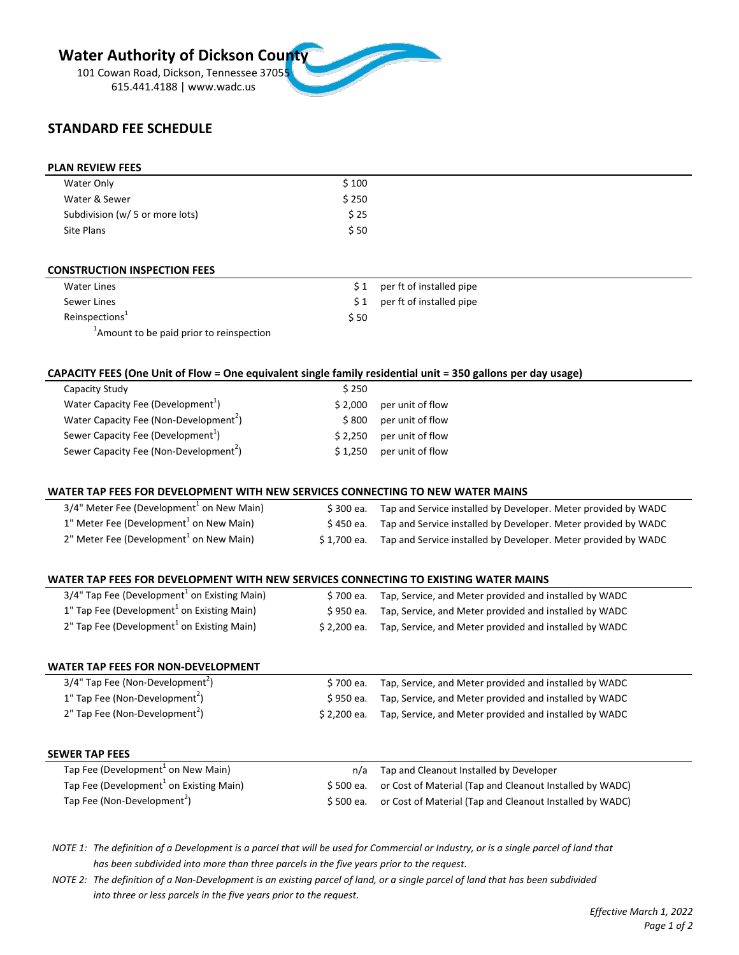# **Water Authority of Dickson County**

101 Cowan Road, Dickson, Tennessee 37055 615.441.4188 | www.wadc.us

# **STANDARD FEE SCHEDULE**

#### **PLAN REVIEW FEES**

| Water Only                      | \$100 |  |
|---------------------------------|-------|--|
| Water & Sewer                   | \$250 |  |
| Subdivision (w/ 5 or more lots) | \$ 25 |  |
| Site Plans                      | \$ 50 |  |

#### **CONSTRUCTION INSPECTION FEES**

| Water Lines                                          |      | \$1 per ft of installed pipe  |
|------------------------------------------------------|------|-------------------------------|
| Sewer Lines                                          |      | $$1$ per ft of installed pipe |
| Reinspections <sup>1</sup>                           | \$50 |                               |
| <sup>1</sup> Amount to be paid prior to reinspection |      |                               |

#### **CAPACITY FEES (One Unit of Flow = One equivalent single family residential unit = 350 gallons per day usage)**

| Capacity Study                                     | \$250   |                  |
|----------------------------------------------------|---------|------------------|
| Water Capacity Fee (Development <sup>1</sup> )     | \$2.000 | per unit of flow |
| Water Capacity Fee (Non-Development <sup>2</sup> ) | \$800   | per unit of flow |
| Sewer Capacity Fee (Development <sup>1</sup> )     | \$2.250 | per unit of flow |
| Sewer Capacity Fee (Non-Development <sup>2</sup> ) | \$1.250 | per unit of flow |

## **WATER TAP FEES FOR DEVELOPMENT WITH NEW SERVICES CONNECTING TO NEW WATER MAINS**

| $3/4"$ Meter Fee (Development <sup>1</sup> on New Main) | S 300 ea.   | Tap and Service installed by Developer. Meter provided by WADC |
|---------------------------------------------------------|-------------|----------------------------------------------------------------|
| $1"$ Meter Fee (Development $1'$ on New Main)           | S 450 ea.   | Tap and Service installed by Developer. Meter provided by WADC |
| 2" Meter Fee (Development <sup>1</sup> on New Main)     | S 1.700 ea. | Tap and Service installed by Developer. Meter provided by WADC |

#### **WATER TAP FEES FOR DEVELOPMENT WITH NEW SERVICES CONNECTING TO EXISTING WATER MAINS**

| 3/4" Tap Fee (Development <sup>1</sup> on Existing Main) |              | \$700 ea. Tap, Service, and Meter provided and installed by WADC |
|----------------------------------------------------------|--------------|------------------------------------------------------------------|
| 1" Tap Fee (Development <sup>1</sup> on Existing Main)   |              | \$950 ea. Tap, Service, and Meter provided and installed by WADC |
| 2" Tap Fee (Development <sup>1</sup> on Existing Main)   | \$ 2.200 ea. | Tap, Service, and Meter provided and installed by WADC           |

#### **WATER TAP FEES FOR NON-DEVELOPMENT**

| 3/4" Tap Fee (Non-Development <sup>2</sup> ) | \$700 ea. Tap, Service, and Meter provided and installed by WADC   |
|----------------------------------------------|--------------------------------------------------------------------|
| 1" Tap Fee (Non-Development <sup>2</sup> )   | \$950 ea. Tap, Service, and Meter provided and installed by WADC   |
| 2" Tap Fee (Non-Development <sup>2</sup> )   | \$2,200 ea. Tap, Service, and Meter provided and installed by WADC |

#### **SEWER TAP FEES**

| Tap Fee (Development <sup>1</sup> on New Main)      | n/a Tap and Cleanout Installed by Developer                        |
|-----------------------------------------------------|--------------------------------------------------------------------|
| Tap Fee (Development <sup>1</sup> on Existing Main) | \$500 ea. or Cost of Material (Tap and Cleanout Installed by WADC) |
| Tap Fee (Non-Development <sup>2</sup> )             | \$500 ea. or Cost of Material (Tap and Cleanout Installed by WADC) |

*NOTE 1: The definition of a Development is a parcel that will be used for Commercial or Industry, or is a single parcel of land that has been subdivided into more than three parcels in the five years prior to the request.*

*NOTE 2: The definition of a Non-Development is an existing parcel of land, or a single parcel of land that has been subdivided into three or less parcels in the five years prior to the request.*